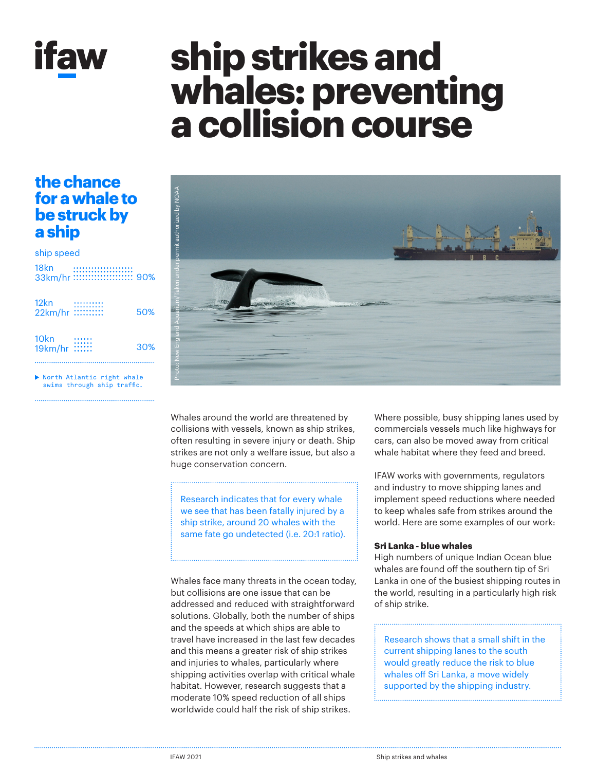

# **ship strikes and whales: preventing a collision course**

## **the chance for a whale to be struck by a ship**

### 33km/hr :::::::::::::::::::::::::: 90% 18kn ship speed

| 12 <sub>kn</sub><br>22km/hr :::::::::: | 50% |
|----------------------------------------|-----|
| 10 <sub>kn</sub><br>19km/hr ::::::     | 30% |

North Atlantic right whale swims through ship traffic.



Whales around the world are threatened by collisions with vessels, known as ship strikes, often resulting in severe injury or death. Ship strikes are not only a welfare issue, but also a huge conservation concern.

Research indicates that for every whale we see that has been fatally injured by a ship strike, around 20 whales with the same fate go undetected (i.e. 20:1 ratio).

Whales face many threats in the ocean today, but collisions are one issue that can be addressed and reduced with straightforward solutions. Globally, both the number of ships and the speeds at which ships are able to travel have increased in the last few decades and this means a greater risk of ship strikes and injuries to whales, particularly where shipping activities overlap with critical whale habitat. However, research suggests that a moderate 10% speed reduction of all ships worldwide could half the risk of ship strikes.

Where possible, busy shipping lanes used by commercials vessels much like highways for cars, can also be moved away from critical whale habitat where they feed and breed.

IFAW works with governments, regulators and industry to move shipping lanes and implement speed reductions where needed to keep whales safe from strikes around the world. Here are some examples of our work:

### **Sri Lanka - blue whales**

High numbers of unique Indian Ocean blue whales are found off the southern tip of Sri Lanka in one of the busiest shipping routes in the world, resulting in a particularly high risk of ship strike.

Research shows that a small shift in the current shipping lanes to the south would greatly reduce the risk to blue whales off Sri Lanka, a move widely supported by the shipping industry.